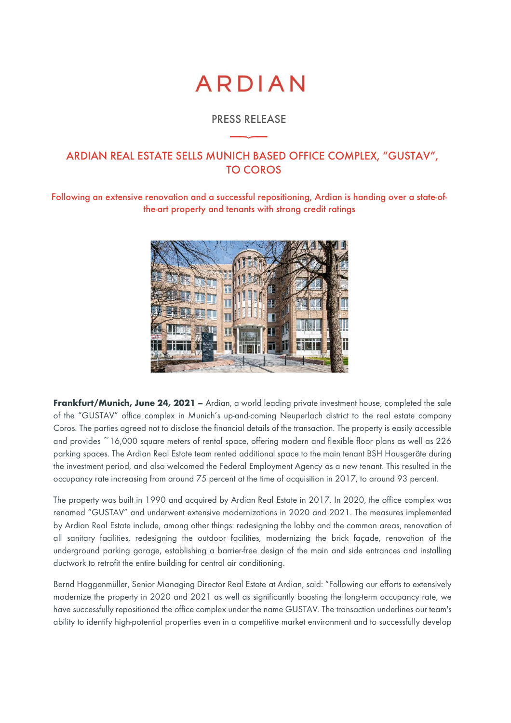# **ARDIAN**

### PRESS RELEASE

## ARDIAN REAL ESTATE SELLS MUNICH BASED OFFICE COMPLEX, "GUSTAV", TO COROS

Following an extensive renovation and a successful repositioning, Ardian is handing over a state-ofthe-art property and tenants with strong credit ratings



Frankfurt/Munich, June 24, 2021 – Ardian, a world leading private investment house, completed the sale of the "GUSTAV" office complex in Munich's up-and-coming Neuperlach district to the real estate company Coros. The parties agreed not to disclose the financial details of the transaction. The property is easily accessible and provides ~16,000 square meters of rental space, offering modern and flexible floor plans as well as 226 parking spaces. The Ardian Real Estate team rented additional space to the main tenant BSH Hausgeräte during the investment period, and also welcomed the Federal Employment Agency as a new tenant. This resulted in the occupancy rate increasing from around 75 percent at the time of acquisition in 2017, to around 93 percent.

The property was built in 1990 and acquired by Ardian Real Estate in 2017. In 2020, the office complex was renamed "GUSTAV" and underwent extensive modernizations in 2020 and 2021. The measures implemented by Ardian Real Estate include, among other things: redesigning the lobby and the common areas, renovation of all sanitary facilities, redesigning the outdoor facilities, modernizing the brick façade, renovation of the underground parking garage, establishing a barrier-free design of the main and side entrances and installing ductwork to retrofit the entire building for central air conditioning.

Bernd Haggenmüller, Senior Managing Director Real Estate at Ardian, said: "Following our efforts to extensively modernize the property in 2020 and 2021 as well as significantly boosting the long-term occupancy rate, we have successfully repositioned the office complex under the name GUSTAV. The transaction underlines our team's ability to identify high-potential properties even in a competitive market environment and to successfully develop